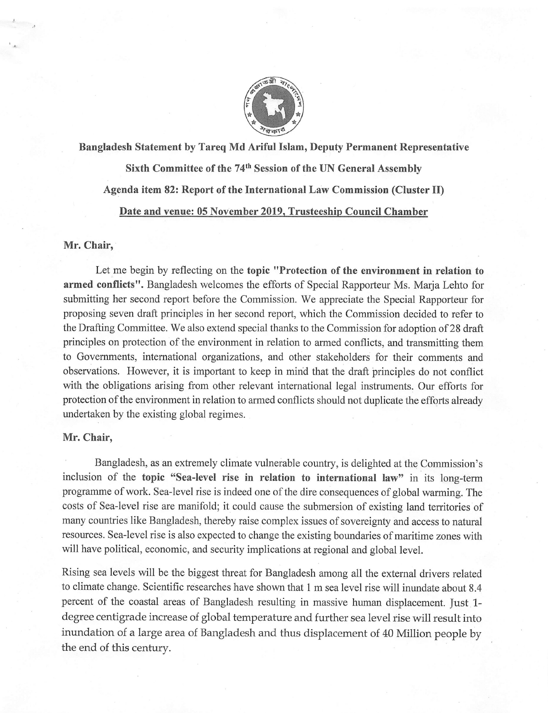

Bangladesh Statement by Tareq Md Ariful Islam, Deputy Permanent Representative Sixth Committee of the 74<sup>th</sup> Session of the UN General Assembly Agenda item 82: Report of the International Law Commission (Cluster II) Date and venue: 05 November 2019, Trusteeship Council Chamber

# Mr. Chair,

Let me begin by reflecting on the topic "Protection of the environment in relation to armed conflicts". Bangladesh welcomes the efforts of Special Rapporteur Ms. Marja Lehto for submitting her second report before the Commission. We appreciate the Special Rapporteur for proposing seven draft principles in her second report, which the Commission decided to refer to the Drafting Committee. We also extend special thanks to the Commission for adoption of 28 draft principles on protection of the environment in relation to armed conflicts, and transmitting them to Governments, international organizations, and other stakeholders for their comments and observations. However, it is important to keep in mind that the draft principles do not conflict with the obligations arising from other relevant international legal instruments. Our efforts for protection of the environment in relation to armed conflicts should not duplicate the efforts already undertaken by the existing global regimes.

### Mr. Chair,

Bangladesh, as an extremely climate vulnerable country, is delighted at the Commission's inclusion of the topic "Sea-level rise in relation to international law" in its long-term programme of work. Sea-level rise is indeed one of the dire consequences of global warming. The costs of Sea-level rise are manifold; it could cause the submersion of existing land territories of many countries like Bangladesh, thereby raise complex issues of sovereignty and access to natural resources. Sea-level rise is also expected to change the existing boundaries of maritime zones with will have political, economic, and security implications at regional and global level.

Rising sea levels will be the biggest threat for Bangladesh among all the external drivers related to climate change. Scientific researches have shown that 1 m sea level rise will inundate about 8.4 percent of the coastal areas of Bangladesh resulting in massive human displacement. Just 1 degree centigrade increase of global temperature and further sea level rise will result into inundation of a large area of Bangladesh and thus displacement of 40 Million people by the end of this century.